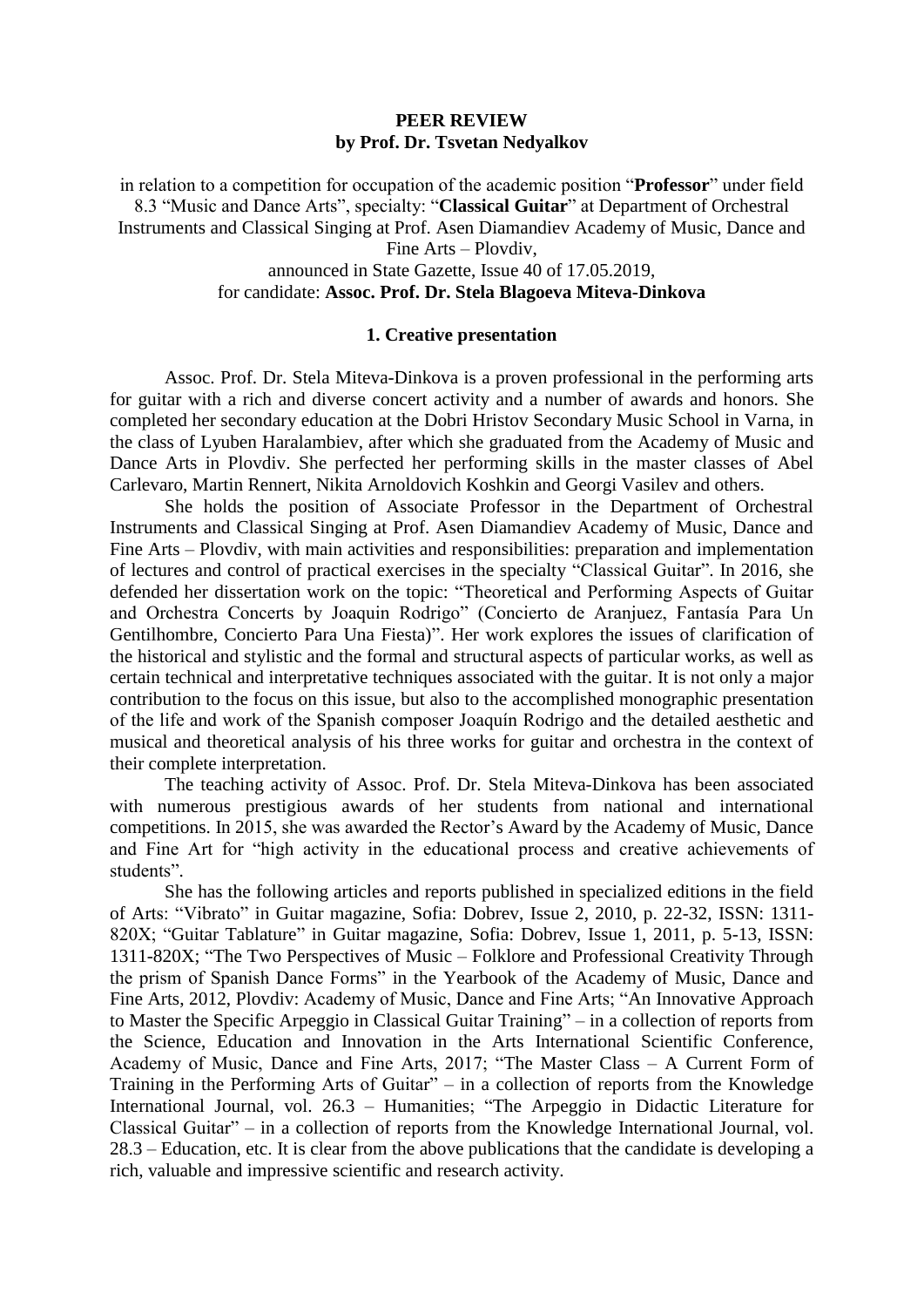## **PEER REVIEW by Prof. Dr. Tsvetan Nedyalkov**

in relation to a competition for occupation of the academic position "**Professor**" under field 8.3 "Music and Dance Arts", specialty: "**Classical Guitar**" at Department of Orchestral Instruments and Classical Singing at Prof. Asen Diamandiev Academy of Music, Dance and Fine Arts – Plovdiv, announced in State Gazette, Issue 40 of 17.05.2019,

# for candidate: **Assoc. Prof. Dr. Stela Blagoeva Miteva-Dinkova**

#### **1. Creative presentation**

Assoc. Prof. Dr. Stela Miteva-Dinkova is a proven professional in the performing arts for guitar with a rich and diverse concert activity and a number of awards and honors. She completed her secondary education at the Dobri Hristov Secondary Music School in Varna, in the class of Lyuben Haralambiev, after which she graduated from the Academy of Music and Dance Arts in Plovdiv. She perfected her performing skills in the master classes of Abel Carlevaro, Martin Rennert, Nikita Arnoldovich Koshkin and Georgi Vasilev and others.

She holds the position of Associate Professor in the Department of Orchestral Instruments and Classical Singing at Prof. Asen Diamandiev Academy of Music, Dance and Fine Arts – Plovdiv, with main activities and responsibilities: preparation and implementation of lectures and control of practical exercises in the specialty "Classical Guitar". In 2016, she defended her dissertation work on the topic: "Theoretical and Performing Aspects of Guitar and Orchestra Concerts by Joaquin Rodrigo" (Concierto de Aranjuez, Fantasía Para Un Gentilhombre, Concierto Para Una Fiesta)". Her work explores the issues of clarification of the historical and stylistic and the formal and structural aspects of particular works, as well as certain technical and interpretative techniques associated with the guitar. It is not only a major contribution to the focus on this issue, but also to the accomplished monographic presentation of the life and work of the Spanish composer Joaquín Rodrigo and the detailed aesthetic and musical and theoretical analysis of his three works for guitar and orchestra in the context of their complete interpretation.

The teaching activity of Assoc. Prof. Dr. Stela Miteva-Dinkova has been associated with numerous prestigious awards of her students from national and international competitions. In 2015, she was awarded the Rector's Award by the Academy of Music, Dance and Fine Art for "high activity in the educational process and creative achievements of students".

She has the following articles and reports published in specialized editions in the field of Arts: "Vibrato" in Guitar magazine, Sofia: Dobrev, Issue 2, 2010, p. 22-32, ISSN: 1311- 820X; "Guitar Tablature" in Guitar magazine, Sofia: Dobrev, Issue 1, 2011, p. 5-13, ISSN: 1311-820X; "The Two Perspectives of Music – Folklore and Professional Creativity Through the prism of Spanish Dance Forms" in the Yearbook of the Academy of Music, Dance and Fine Arts, 2012, Plovdiv: Academy of Music, Dance and Fine Arts; "An Innovative Approach to Master the Specific Arpeggio in Classical Guitar Training" – in a collection of reports from the Science, Education and Innovation in the Arts International Scientific Conference, Academy of Music, Dance and Fine Arts, 2017; "The Master Class – A Current Form of Training in the Performing Arts of Guitar" – in a collection of reports from the Knowledge International Journal, vol. 26.3 – Humanities; "The Arpeggio in Didactic Literature for Classical Guitar" – in a collection of reports from the Knowledge International Journal, vol. 28.3 – Education, etc. It is clear from the above publications that the candidate is developing a rich, valuable and impressive scientific and research activity.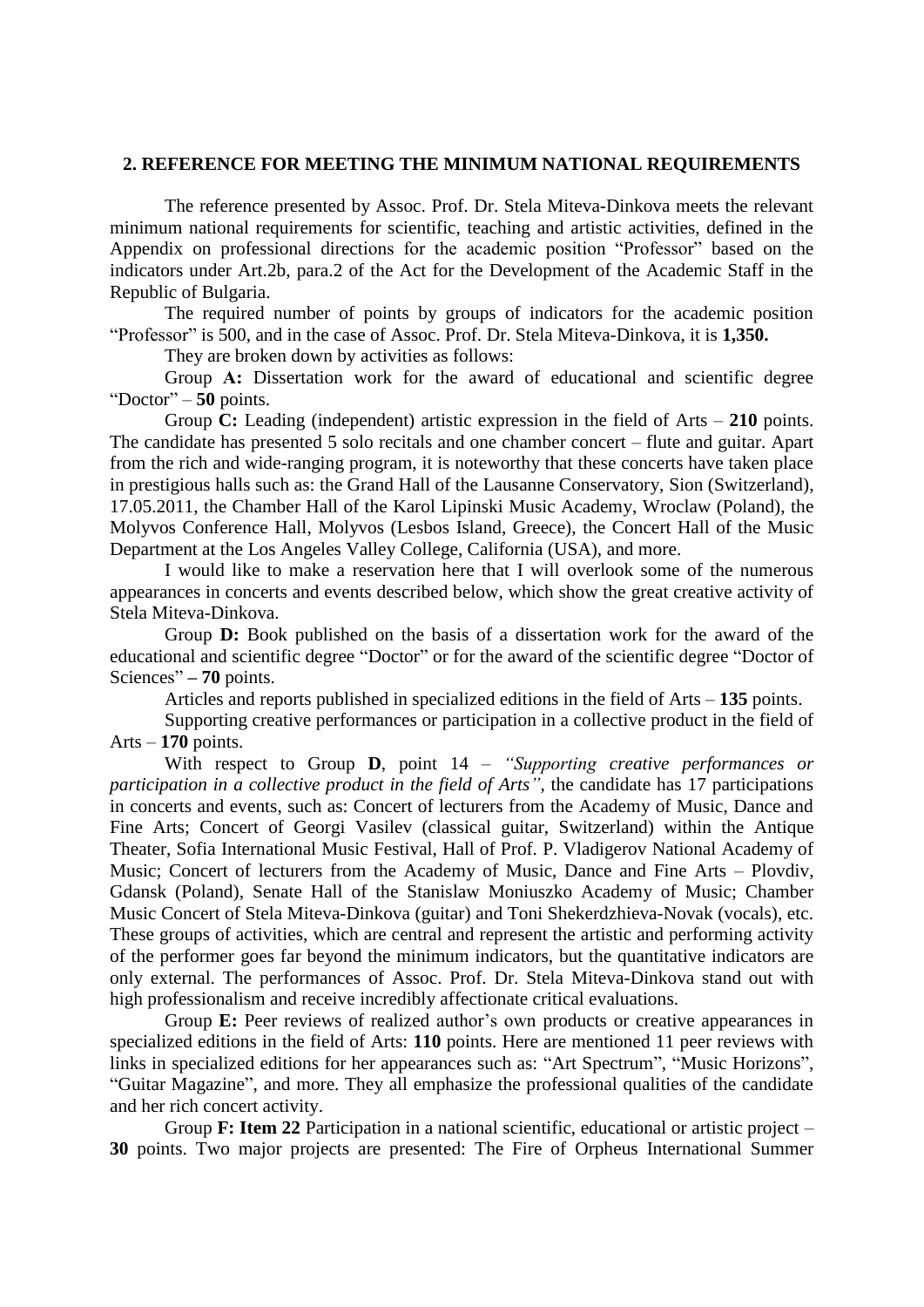### **2. REFERENCE FOR MEETING THE MINIMUM NATIONAL REQUIREMENTS**

The reference presented by Assoc. Prof. Dr. Stela Miteva-Dinkova meets the relevant minimum national requirements for scientific, teaching and artistic activities, defined in the Appendix on professional directions for the academic position "Professor" based on the indicators under Art.2b, para.2 of the Act for the Development of the Academic Staff in the Republic of Bulgaria.

The required number of points by groups of indicators for the academic position "Professor" is 500, and in the case of Assoc. Prof. Dr. Stela Miteva-Dinkova, it is **1,350.**

They are broken down by activities as follows:

Group A: Dissertation work for the award of educational and scientific degree "Doctor" – **50** points.

Group **C:** Leading (independent) artistic expression in the field of Arts – **210** points. The candidate has presented 5 solo recitals and one chamber concert – flute and guitar. Apart from the rich and wide-ranging program, it is noteworthy that these concerts have taken place in prestigious halls such as: the Grand Hall of the Lausanne Conservatory, Sion (Switzerland), 17.05.2011, the Chamber Hall of the Karol Lipinski Music Academy, Wroclaw (Poland), the Molyvos Conference Hall, Molyvos (Lesbos Island, Greece), the Concert Hall of the Music Department at the Los Angeles Valley College, California (USA), and more.

I would like to make a reservation here that I will overlook some of the numerous appearances in concerts and events described below, which show the great creative activity of Stela Miteva-Dinkova.

Group **D:** Book published on the basis of a dissertation work for the award of the educational and scientific degree "Doctor" or for the award of the scientific degree "Doctor of Sciences" **– 70** points.

Articles and reports published in specialized editions in the field of Arts – **135** points.

Supporting creative performances or participation in a collective product in the field of Arts – **170** points.

With respect to Group **D**, point 14 – *"Supporting creative performances or participation in a collective product in the field of Arts"*, the candidate has 17 participations in concerts and events, such as: Concert of lecturers from the Academy of Music, Dance and Fine Arts; Concert of Georgi Vasilev (classical guitar, Switzerland) within the Antique Theater, Sofia International Music Festival, Hall of Prof. P. Vladigerov National Academy of Music; Concert of lecturers from the Academy of Music, Dance and Fine Arts – Plovdiv, Gdansk (Poland), Senate Hall of the Stanislaw Moniuszko Academy of Music; Chamber Music Concert of Stela Miteva-Dinkova (guitar) and Toni Shekerdzhieva-Novak (vocals), etc. These groups of activities, which are central and represent the artistic and performing activity of the performer goes far beyond the minimum indicators, but the quantitative indicators are only external. The performances of Assoc. Prof. Dr. Stela Miteva-Dinkova stand out with high professionalism and receive incredibly affectionate critical evaluations.

Group **E:** Peer reviews of realized author's own products or creative appearances in specialized editions in the field of Arts: **110** points. Here are mentioned 11 peer reviews with links in specialized editions for her appearances such as: "Art Spectrum", "Music Horizons", "Guitar Magazine", and more. They all emphasize the professional qualities of the candidate and her rich concert activity.

Group **F: Item 22** Participation in a national scientific, educational or artistic project – **30** points. Two major projects are presented: The Fire of Orpheus International Summer